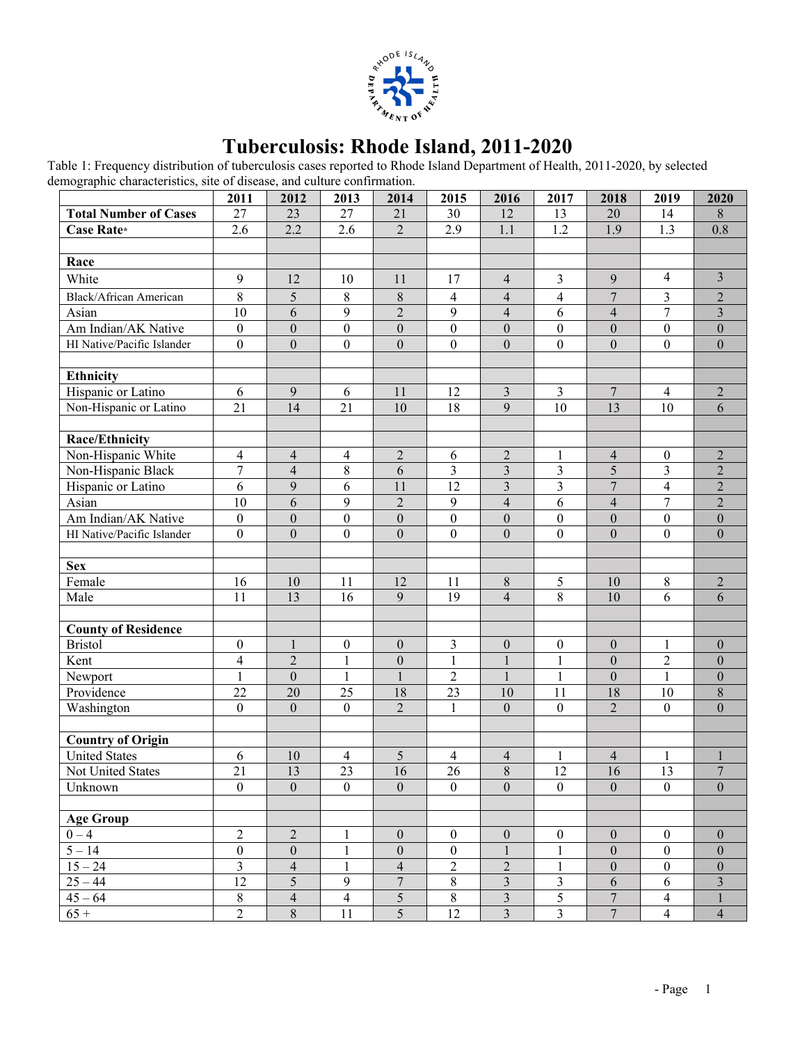

## **Tuberculosis: Rhode Island, 2011-2020**

Table 1: Frequency distribution of tuberculosis cases reported to Rhode Island Department of Health, 2011-2020, by selected demographic characteristics, site of disease, and culture confirmation.

|                              | 2011                    | 2012                          | 2013                     | 2014                                 | 2015                                 | 2016                                      | 2017              | 2018                    | 2019                                 | 2020                           |
|------------------------------|-------------------------|-------------------------------|--------------------------|--------------------------------------|--------------------------------------|-------------------------------------------|-------------------|-------------------------|--------------------------------------|--------------------------------|
| <b>Total Number of Cases</b> | 27                      | 23                            | 27                       | 21                                   | 30                                   | 12                                        | 13                | 20                      | 14                                   | $\,8\,$                        |
| Case Rate*                   | 2.6                     | 2.2                           | 2.6                      | $\overline{2}$                       | 2.9                                  | 1.1                                       | 1.2               | 1.9                     | 1.3                                  | 0.8                            |
|                              |                         |                               |                          |                                      |                                      |                                           |                   |                         |                                      |                                |
| Race                         |                         |                               |                          |                                      |                                      |                                           |                   |                         |                                      |                                |
| White                        | 9                       | 12                            | 10                       | 11                                   | 17                                   | $\overline{4}$                            | 3                 | 9                       | 4                                    | $\overline{3}$                 |
| Black/African American       | 8                       | 5                             | 8                        | 8                                    | $\overline{\mathbf{4}}$              | $\overline{4}$                            | 4                 | $\overline{7}$          | 3                                    | $\sqrt{2}$                     |
| Asian                        | 10                      | 6                             | 9                        | $\overline{2}$                       | 9                                    | $\overline{\mathbf{4}}$                   | 6                 | $\overline{\mathbf{4}}$ | $\tau$                               | $\overline{3}$                 |
| Am Indian/AK Native          | $\boldsymbol{0}$        | $\boldsymbol{0}$              | $\boldsymbol{0}$         | $\overline{0}$                       | $\boldsymbol{0}$                     | $\boldsymbol{0}$                          | $\boldsymbol{0}$  | $\boldsymbol{0}$        | $\boldsymbol{0}$                     | $\boldsymbol{0}$               |
| HI Native/Pacific Islander   | $\boldsymbol{0}$        | $\boldsymbol{0}$              | $\boldsymbol{0}$         | $\overline{0}$                       | $\boldsymbol{0}$                     | $\boldsymbol{0}$                          | $\boldsymbol{0}$  | $\boldsymbol{0}$        | $\overline{0}$                       | $\boldsymbol{0}$               |
|                              |                         |                               |                          |                                      |                                      |                                           |                   |                         |                                      |                                |
| <b>Ethnicity</b>             |                         |                               |                          |                                      |                                      |                                           |                   |                         |                                      |                                |
| Hispanic or Latino           | 6                       | 9                             | 6                        | 11                                   | 12                                   | $\overline{3}$                            | 3                 | $\overline{7}$          | $\overline{4}$                       | $\sqrt{2}$                     |
| Non-Hispanic or Latino       | 21                      | 14                            | 21                       | 10                                   | 18                                   | 9                                         | 10                | 13                      | 10                                   | 6                              |
|                              |                         |                               |                          |                                      |                                      |                                           |                   |                         |                                      |                                |
| <b>Race/Ethnicity</b>        |                         |                               |                          |                                      |                                      |                                           |                   |                         |                                      |                                |
| Non-Hispanic White           | 4                       | $\overline{\mathbf{4}}$       | $\overline{\mathbf{4}}$  | $\overline{2}$                       | 6                                    | $\overline{2}$                            | $\mathbf{1}$      | $\overline{4}$          | $\boldsymbol{0}$                     | $\overline{c}$                 |
| Non-Hispanic Black           | 7                       | $\overline{\mathbf{4}}$       | 8                        | 6                                    | 3                                    | $\overline{\mathbf{3}}$                   | 3                 | 5                       | 3                                    | $\overline{c}$                 |
| Hispanic or Latino           | 6                       | 9                             | 6                        | 11                                   | 12                                   | $\overline{\mathbf{3}}$                   | 3                 | $\overline{7}$          | $\overline{4}$                       | $\overline{c}$                 |
| Asian                        | 10                      | 6                             | 9                        | $\overline{2}$                       | 9                                    | $\overline{4}$                            | 6                 | $\overline{\mathbf{4}}$ | 7                                    | $\overline{2}$                 |
| Am Indian/AK Native          | $\boldsymbol{0}$        | $\boldsymbol{0}$              | $\boldsymbol{0}$         | $\mathbf{0}$                         | $\boldsymbol{0}$                     | $\boldsymbol{0}$                          | $\boldsymbol{0}$  | $\boldsymbol{0}$        | $\boldsymbol{0}$                     | $\boldsymbol{0}$               |
| HI Native/Pacific Islander   | $\boldsymbol{0}$        | $\mathbf{0}$                  | $\boldsymbol{0}$         | $\overline{0}$                       | $\overline{0}$                       | $\mathbf{0}$                              | $\boldsymbol{0}$  | $\boldsymbol{0}$        | $\boldsymbol{0}$                     | $\boldsymbol{0}$               |
|                              |                         |                               |                          |                                      |                                      |                                           |                   |                         |                                      |                                |
| <b>Sex</b>                   |                         |                               |                          |                                      |                                      |                                           |                   |                         |                                      |                                |
| Female                       | 16                      | 10                            | 11                       | 12                                   | 11                                   | $8\,$                                     | 5                 | 10                      | $8\,$                                | $\sqrt{2}$                     |
| Male                         | 11                      | 13                            | 16                       | 9                                    | 19                                   | $\overline{4}$                            | 8                 | 10                      | 6                                    | 6                              |
|                              |                         |                               |                          |                                      |                                      |                                           |                   |                         |                                      |                                |
| <b>County of Residence</b>   |                         |                               |                          |                                      |                                      |                                           |                   |                         |                                      |                                |
| <b>Bristol</b>               | $\boldsymbol{0}$        | $\mathbf{1}$                  | $\boldsymbol{0}$         | $\boldsymbol{0}$                     | 3                                    | $\boldsymbol{0}$                          | $\boldsymbol{0}$  | $\boldsymbol{0}$        | $\mathbf{1}$                         | $\boldsymbol{0}$               |
| Kent                         | 4                       | $\overline{2}$                | $\mathbf{1}$             | $\boldsymbol{0}$                     | $\mathbf{1}$                         | $\mathbf{1}$                              | $\mathbf{1}$      | $\boldsymbol{0}$        | $\overline{c}$                       | $\boldsymbol{0}$               |
| Newport                      | $\mathbf{1}$            | $\mathbf{0}$                  | $\mathbf{1}$             | $\mathbf{1}$                         | $\overline{2}$                       | $\mathbf{1}$                              | $\mathbf{1}$      | $\boldsymbol{0}$        | 1                                    | $\boldsymbol{0}$               |
| Providence                   | 22                      | 20                            | 25                       | 18                                   | 23                                   | 10                                        | 11                | 18                      | 10                                   | $\,8\,$                        |
| Washington                   | $\boldsymbol{0}$        | $\mathbf{0}$                  | $\boldsymbol{0}$         | $\overline{2}$                       | $\mathbf{1}$                         | $\mathbf{0}$                              | $\boldsymbol{0}$  | $\overline{2}$          | $\boldsymbol{0}$                     | $\boldsymbol{0}$               |
|                              |                         |                               |                          |                                      |                                      |                                           |                   |                         |                                      |                                |
| <b>Country of Origin</b>     |                         |                               |                          |                                      |                                      |                                           |                   |                         |                                      |                                |
| <b>United States</b>         | 6                       | 10                            | $\overline{\mathcal{A}}$ | 5                                    | $\overline{\mathbf{4}}$              | $\overline{4}$                            | $\mathbf{1}$      | 4                       | 1                                    | 1                              |
| Not United States            | 21                      | 13                            | 23                       | 16                                   | 26                                   | 8                                         | 12                | 16                      | 13                                   | $\overline{7}$                 |
| Unknown                      | $\mathbf{0}$            | $\boldsymbol{0}$              | $\boldsymbol{0}$         | $\boldsymbol{0}$                     | $\mathbf{0}$                         | $\mathbf{0}$                              | $\boldsymbol{0}$  | $\boldsymbol{0}$        | $\boldsymbol{0}$                     | $\mathbf{0}$                   |
|                              |                         |                               |                          |                                      |                                      |                                           |                   |                         |                                      |                                |
| <b>Age Group</b>             | $\overline{2}$          |                               |                          |                                      |                                      |                                           |                   |                         |                                      |                                |
| $0 - 4$                      | $\boldsymbol{0}$        | $\overline{2}$                | $\mathbf{1}$             | $\boldsymbol{0}$<br>$\boldsymbol{0}$ | $\boldsymbol{0}$<br>$\boldsymbol{0}$ | $\boldsymbol{0}$<br>$\mathbf{1}$          | $\boldsymbol{0}$  | $\boldsymbol{0}$        | $\mathbf{0}$                         | $\mathbf{0}$                   |
| $5 - 14$                     | $\overline{\mathbf{3}}$ | $\boldsymbol{0}$              | $\mathbf{1}$             | $\overline{4}$                       | $\overline{c}$                       |                                           | 1                 | $\boldsymbol{0}$        | $\boldsymbol{0}$<br>$\boldsymbol{0}$ | $\mathbf{0}$                   |
| $15 - 24$<br>$25 - 44$       | 12                      | $\overline{\mathcal{L}}$<br>5 | $\mathbf{1}$<br>9        | $\overline{7}$                       | 8                                    | $\overline{c}$<br>$\overline{\mathbf{3}}$ | $\mathbf{1}$<br>3 | $\boldsymbol{0}$<br>6   | $\sqrt{6}$                           | $\mathbf{0}$<br>$\overline{3}$ |
| $45 - 64$                    | $8\,$                   | $\overline{4}$                | $\overline{\mathbf{4}}$  | $\overline{5}$                       | $8\,$                                | $\mathfrak{Z}$                            | 5                 | $\overline{7}$          | $\overline{4}$                       | $\mathbf{1}$                   |
| $65+$                        | $\overline{2}$          | $8\,$                         | 11                       | 5                                    | 12                                   | $\overline{3}$                            | 3                 | $\overline{7}$          | $\overline{4}$                       | $\overline{4}$                 |
|                              |                         |                               |                          |                                      |                                      |                                           |                   |                         |                                      |                                |